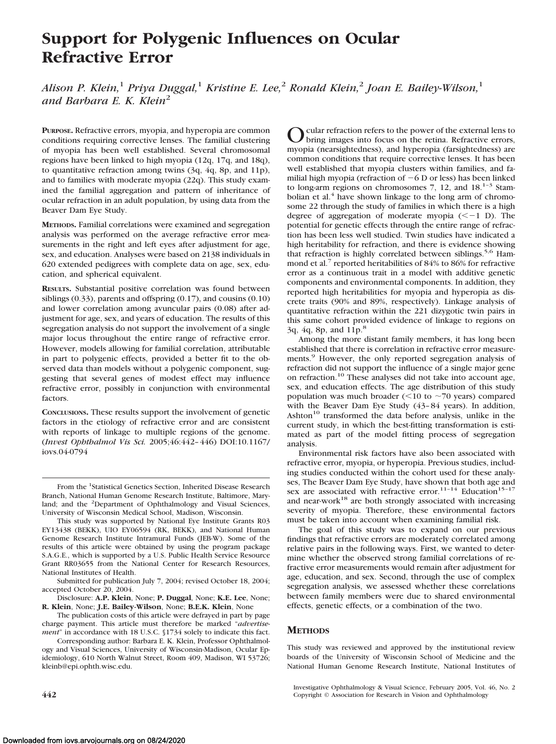# **Support for Polygenic Influences on Ocular Refractive Error**

*Alison P. Klein,*<sup>1</sup> *Priya Duggal,*<sup>1</sup> *Kristine E. Lee,*<sup>2</sup> *Ronald Klein,*<sup>2</sup> *Joan E. Bailey-Wilson,*<sup>1</sup> *and Barbara E. K. Klein*<sup>2</sup>

**PURPOSE.** Refractive errors, myopia, and hyperopia are common conditions requiring corrective lenses. The familial clustering of myopia has been well established. Several chromosomal regions have been linked to high myopia (12q, 17q, and 18q), to quantitative refraction among twins (3q, 4q, 8p, and 11p), and to families with moderate myopia (22q). This study examined the familial aggregation and pattern of inheritance of ocular refraction in an adult population, by using data from the Beaver Dam Eye Study.

**METHODS.** Familial correlations were examined and segregation analysis was performed on the average refractive error measurements in the right and left eyes after adjustment for age, sex, and education. Analyses were based on 2138 individuals in 620 extended pedigrees with complete data on age, sex, education, and spherical equivalent.

**RESULTS.** Substantial positive correlation was found between siblings (0.33), parents and offspring (0.17), and cousins (0.10) and lower correlation among avuncular pairs (0.08) after adjustment for age, sex, and years of education. The results of this segregation analysis do not support the involvement of a single major locus throughout the entire range of refractive error. However, models allowing for familial correlation, attributable in part to polygenic effects, provided a better fit to the observed data than models without a polygenic component, suggesting that several genes of modest effect may influence refractive error, possibly in conjunction with environmental factors.

**CONCLUSIONS.** These results support the involvement of genetic factors in the etiology of refractive error and are consistent with reports of linkage to multiple regions of the genome. (*Invest Ophthalmol Vis Sci.* 2005;46:442– 446) DOI:10.1167/ iovs.04-0794

O cular refraction refers to the power of the external lens to<br>bring images into focus on the retina. Refractive errors, myopia (nearsightedness), and hyperopia (farsightedness) are common conditions that require corrective lenses. It has been well established that myopia clusters within families, and familial high myopia (refraction of  $-6$  D or less) has been linked to long-arm regions on chromosomes  $7$ , 12, and  $18^{1-3}$  Stambolian et al. $4$  have shown linkage to the long arm of chromosome 22 through the study of families in which there is a high degree of aggregation of moderate myopia  $(< -1$  D). The potential for genetic effects through the entire range of refraction has been less well studied. Twin studies have indicated a high heritability for refraction, and there is evidence showing that refraction is highly correlated between siblings.<sup>5,6</sup> Hammond et al.<sup>7</sup> reported heritabilities of 84% to 86% for refractive error as a continuous trait in a model with additive genetic components and environmental components. In addition, they reported high heritabilities for myopia and hyperopia as discrete traits (90% and 89%, respectively). Linkage analysis of quantitative refraction within the 221 dizygotic twin pairs in this same cohort provided evidence of linkage to regions on 3q, 4q, 8p, and 11p.<sup>8</sup>

Among the more distant family members, it has long been established that there is correlation in refractive error measurements.<sup>9</sup> However, the only reported segregation analysis of refraction did not support the influence of a single major gene on refraction.10 These analyses did not take into account age, sex, and education effects. The age distribution of this study population was much broader ( $\leq$ 10 to  $\sim$ 70 years) compared with the Beaver Dam Eye Study (43-84 years). In addition, Ashton<sup>10</sup> transformed the data before analysis, unlike in the current study, in which the best-fitting transformation is estimated as part of the model fitting process of segregation analysis.

Environmental risk factors have also been associated with refractive error, myopia, or hyperopia. Previous studies, including studies conducted within the cohort used for these analyses, The Beaver Dam Eye Study, have shown that both age and sex are associated with refractive error.<sup>11–14</sup> Education<sup>15–17</sup> and near-work<sup>18</sup> are both strongly associated with increasing severity of myopia. Therefore, these environmental factors must be taken into account when examining familial risk.

The goal of this study was to expand on our previous findings that refractive errors are moderately correlated among relative pairs in the following ways. First, we wanted to determine whether the observed strong familial correlations of refractive error measurements would remain after adjustment for age, education, and sex. Second, through the use of complex segregation analysis, we assessed whether these correlations between family members were due to shared environmental effects, genetic effects, or a combination of the two.

## **METHODS**

This study was reviewed and approved by the institutional review boards of the University of Wisconsin School of Medicine and the National Human Genome Research Institute, National Institutes of

From the <sup>1</sup>Statistical Genetics Section, Inherited Disease Research Branch, National Human Genome Research Institute, Baltimore, Maryland; and the <sup>2</sup>Department of Ophthalmology and Visual Sciences, University of Wisconsin Medical School, Madison, Wisconsin.

This study was supported by National Eye Institute Grants R03 EY13438 (BEKK), UIO EY06594 (RK, BEKK), and National Human Genome Research Institute Intramural Funds (JEB-W). Some of the results of this article were obtained by using the program package S.A.G.E., which is supported by a U.S. Public Health Service Resource Grant RR03655 from the National Center for Research Resources, National Institutes of Health.

Submitted for publication July 7, 2004; revised October 18, 2004; accepted October 20, 2004.

Disclosure: **A.P. Klein**, None; **P. Duggal**, None; **K.E. Lee**, None; **R. Klein**, None; **J.E. Bailey-Wilson**, None; **B.E.K. Klein**, None

The publication costs of this article were defrayed in part by page charge payment. This article must therefore be marked "*advertisement*" in accordance with 18 U.S.C. §1734 solely to indicate this fact.

Corresponding author: Barbara E. K. Klein, Professor Ophthalmology and Visual Sciences, University of Wisconsin-Madison, Ocular Epidemiology, 610 North Walnut Street, Room 409, Madison, WI 53726; kleinb@epi.ophth.wisc.edu.

Investigative Ophthalmology & Visual Science, February 2005, Vol. 46, No. 2 **442** Copyright © Association for Research in Vision and Ophthalmology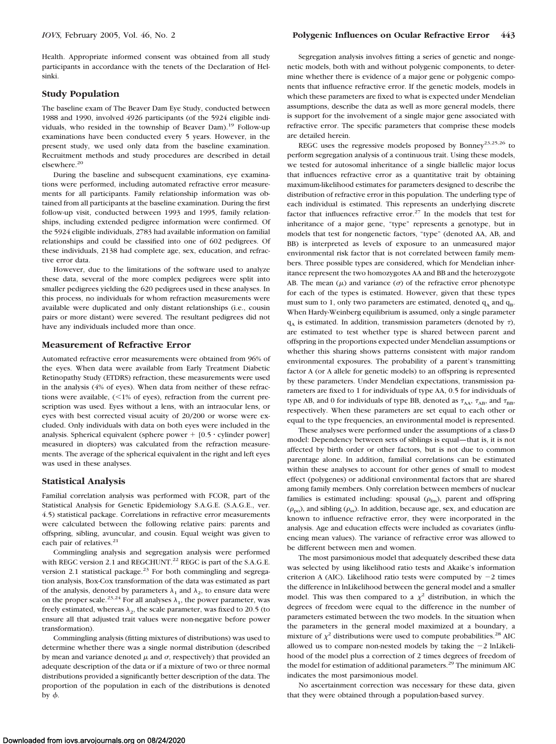Health. Appropriate informed consent was obtained from all study participants in accordance with the tenets of the Declaration of Helsinki.

#### **Study Population**

The baseline exam of The Beaver Dam Eye Study, conducted between 1988 and 1990, involved 4926 participants (of the 5924 eligible individuals, who resided in the township of Beaver Dam).19 Follow-up examinations have been conducted every 5 years. However, in the present study, we used only data from the baseline examination. Recruitment methods and study procedures are described in detail elsewhere.20

During the baseline and subsequent examinations, eye examinations were performed, including automated refractive error measurements for all participants. Family relationship information was obtained from all participants at the baseline examination. During the first follow-up visit, conducted between 1993 and 1995, family relationships, including extended pedigree information were confirmed. Of the 5924 eligible individuals, 2783 had available information on familial relationships and could be classified into one of 602 pedigrees. Of these individuals, 2138 had complete age, sex, education, and refractive error data.

However, due to the limitations of the software used to analyze these data, several of the more complex pedigrees were split into smaller pedigrees yielding the 620 pedigrees used in these analyses. In this process, no individuals for whom refraction measurements were available were duplicated and only distant relationships (i.e., cousin pairs or more distant) were severed. The resultant pedigrees did not have any individuals included more than once.

#### **Measurement of Refractive Error**

Automated refractive error measurements were obtained from 96% of the eyes. When data were available from Early Treatment Diabetic Retinopathy Study (ETDRS) refraction, these measurements were used in the analysis (4% of eyes). When data from neither of these refractions were available,  $(< 1\%$  of eyes), refraction from the current prescription was used. Eyes without a lens, with an intraocular lens, or eyes with best corrected visual acuity of 20/200 or worse were excluded. Only individuals with data on both eyes were included in the analysis. Spherical equivalent (sphere power  $+$  [0.5  $\cdot$  cylinder power] measured in diopters) was calculated from the refraction measurements. The average of the spherical equivalent in the right and left eyes was used in these analyses.

#### **Statistical Analysis**

Familial correlation analysis was performed with FCOR, part of the Statistical Analysis for Genetic Epidemiology S.A.G.E. (S.A.G.E., ver. 4.5) statistical package. Correlations in refractive error measurements were calculated between the following relative pairs: parents and offspring, sibling, avuncular, and cousin. Equal weight was given to each pair of relatives.<sup>21</sup>

Commingling analysis and segregation analysis were performed with REGC version 2.1 and REGCHUNT.<sup>22</sup> REGC is part of the S.A.G.E. version 2.1 statistical package.<sup>23</sup> For both commingling and segregation analysis, Box-Cox transformation of the data was estimated as part of the analysis, denoted by parameters  $\lambda_1$  and  $\lambda_2$ , to ensure data were on the proper scale.<sup>23,24</sup> For all analyses  $\lambda_1$ , the power parameter, was freely estimated, whereas  $\lambda_2$ , the scale parameter, was fixed to 20.5 (to ensure all that adjusted trait values were non-negative before power transformation).

Commingling analysis (fitting mixtures of distributions) was used to determine whether there was a single normal distribution (described by mean and variance denoted  $\mu$  and  $\sigma$ , respectively) that provided an adequate description of the data or if a mixture of two or three normal distributions provided a significantly better description of the data. The proportion of the population in each of the distributions is denoted by  $\phi$ .

Segregation analysis involves fitting a series of genetic and nongenetic models, both with and without polygenic components, to determine whether there is evidence of a major gene or polygenic components that influence refractive error. If the genetic models, models in which these parameters are fixed to what is expected under Mendelian assumptions, describe the data as well as more general models, there is support for the involvement of a single major gene associated with refractive error. The specific parameters that comprise these models are detailed herein.

REGC uses the regressive models proposed by Bonney<sup>23,25,26</sup> to perform segregation analysis of a continuous trait. Using these models, we tested for autosomal inheritance of a single biallelic major locus that influences refractive error as a quantitative trait by obtaining maximum-likelihood estimates for parameters designed to describe the distribution of refractive error in this population. The underling type of each individual is estimated. This represents an underlying discrete factor that influences refractive error.<sup>27</sup> In the models that test for inheritance of a major gene, "type" represents a genotype, but in models that test for nongenetic factors, "type" (denoted AA, AB, and BB) is interpreted as levels of exposure to an unmeasured major environmental risk factor that is not correlated between family members. Three possible types are considered, which for Mendelian inheritance represent the two homozygotes AA and BB and the heterozygote AB. The mean  $(\mu)$  and variance  $(\sigma)$  of the refractive error phenotype for each of the types is estimated. However, given that these types must sum to 1, only two parameters are estimated, denoted  $q_A$  and  $q_B$ . When Hardy-Weinberg equilibrium is assumed, only a single parameter  $q_A$  is estimated. In addition, transmission parameters (denoted by  $\tau$ ), are estimated to test whether type is shared between parent and offspring in the proportions expected under Mendelian assumptions or whether this sharing shows patterns consistent with major random environmental exposures. The probability of a parent's transmitting factor A (or A allele for genetic models) to an offspring is represented by these parameters. Under Mendelian expectations, transmission parameters are fixed to 1 for individuals of type AA, 0.5 for individuals of type AB, and 0 for individuals of type BB, denoted as  $\tau_{AA}$ ,  $\tau_{AB}$ , and  $\tau_{BB}$ , respectively. When these parameters are set equal to each other or equal to the type frequencies, an environmental model is represented.

These analyses were performed under the assumptions of a class-D model: Dependency between sets of siblings is equal—that is, it is not affected by birth order or other factors, but is not due to common parentage alone. In addition, familial correlations can be estimated within these analyses to account for other genes of small to modest effect (polygenes) or additional environmental factors that are shared among family members. Only correlation between members of nuclear families is estimated including: spousal  $(\rho_{\rm fm})$ , parent and offspring  $(\rho_{\rm no})$ , and sibling  $(\rho_{\rm ss})$ . In addition, because age, sex, and education are known to influence refractive error, they were incorporated in the analysis. Age and education effects were included as covariates (influencing mean values). The variance of refractive error was allowed to be different between men and women.

The most parsimonious model that adequately described these data was selected by using likelihood ratio tests and Akaike's information criterion A (AIC). Likelihood ratio tests were computed by  $-2$  times the difference in lnLikelihood between the general model and a smaller model. This was then compared to a  $\chi^2$  distribution, in which the degrees of freedom were equal to the difference in the number of parameters estimated between the two models. In the situation when the parameters in the general model maximized at a boundary, a mixture of  $\chi^2$  distributions were used to compute probabilities.<sup>28</sup> AIC allowed us to compare non-nested models by taking the  $-2$  lnLikelihood of the model plus a correction of 2 times degrees of freedom of the model for estimation of additional parameters.<sup>29</sup> The minimum AIC indicates the most parsimonious model.

No ascertainment correction was necessary for these data, given that they were obtained through a population-based survey.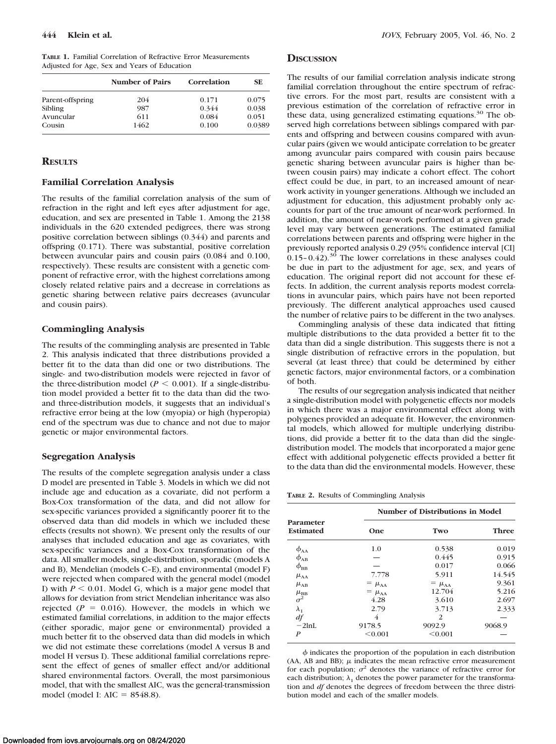**TABLE 1.** Familial Correlation of Refractive Error Measurements Adjusted for Age, Sex and Years of Education

|                  | Number of Pairs | Correlation | <b>SE</b> |
|------------------|-----------------|-------------|-----------|
| Parent-offspring | 204             | 0.171       | 0.075     |
| Sibling          | 987             | 0.344       | 0.038     |
| Avuncular        | 611             | 0.084       | 0.051     |
| Cousin           | 1462            | 0.100       | 0.0389    |

## **RESULTS**

#### **Familial Correlation Analysis**

The results of the familial correlation analysis of the sum of refraction in the right and left eyes after adjustment for age, education, and sex are presented in Table 1. Among the 2138 individuals in the 620 extended pedigrees, there was strong positive correlation between siblings (0.344) and parents and offspring (0.171). There was substantial, positive correlation between avuncular pairs and cousin pairs (0.084 and 0.100, respectively). These results are consistent with a genetic component of refractive error, with the highest correlations among closely related relative pairs and a decrease in correlations as genetic sharing between relative pairs decreases (avuncular and cousin pairs).

## **Commingling Analysis**

The results of the commingling analysis are presented in Table 2. This analysis indicated that three distributions provided a better fit to the data than did one or two distributions. The single- and two-distribution models were rejected in favor of the three-distribution model ( $P < 0.001$ ). If a single-distribution model provided a better fit to the data than did the twoand three-distribution models, it suggests that an individual's refractive error being at the low (myopia) or high (hyperopia) end of the spectrum was due to chance and not due to major genetic or major environmental factors.

## **Segregation Analysis**

The results of the complete segregation analysis under a class D model are presented in Table 3. Models in which we did not include age and education as a covariate, did not perform a Box-Cox transformation of the data, and did not allow for sex-specific variances provided a significantly poorer fit to the observed data than did models in which we included these effects (results not shown). We present only the results of our analyses that included education and age as covariates, with sex-specific variances and a Box-Cox transformation of the data. All smaller models, single-distribution, sporadic (models A and B), Mendelian (models C–E), and environmental (model F) were rejected when compared with the general model (model I) with  $P \le 0.01$ . Model G, which is a major gene model that allows for deviation from strict Mendelian inheritance was also rejected  $(P = 0.016)$ . However, the models in which we estimated familial correlations, in addition to the major effects (either sporadic, major gene or environmental) provided a much better fit to the observed data than did models in which we did not estimate these correlations (model A versus B and model H versus I). These additional familial correlations represent the effect of genes of smaller effect and/or additional shared environmental factors. Overall, the most parsimonious model, that with the smallest AIC, was the general-transmission model (model I:  $AIC = 8548.8$ ).

### **DISCUSSION**

The results of our familial correlation analysis indicate strong familial correlation throughout the entire spectrum of refractive errors. For the most part, results are consistent with a previous estimation of the correlation of refractive error in these data, using generalized estimating equations.<sup>30</sup> The observed high correlations between siblings compared with parents and offspring and between cousins compared with avuncular pairs (given we would anticipate correlation to be greater among avuncular pairs compared with cousin pairs because genetic sharing between avuncular pairs is higher than between cousin pairs) may indicate a cohort effect. The cohort effect could be due, in part, to an increased amount of nearwork activity in younger generations. Although we included an adjustment for education, this adjustment probably only accounts for part of the true amount of near-work performed. In addition, the amount of near-work performed at a given grade level may vary between generations. The estimated familial correlations between parents and offspring were higher in the previously reported analysis 0.29 (95% confidence interval [CI]  $0.15$ – $0.42$ ).<sup>30</sup> The lower correlations in these analyses could be due in part to the adjustment for age, sex, and years of education. The original report did not account for these effects. In addition, the current analysis reports modest correlations in avuncular pairs, which pairs have not been reported previously. The different analytical approaches used caused the number of relative pairs to be different in the two analyses.

Commingling analysis of these data indicated that fitting multiple distributions to the data provided a better fit to the data than did a single distribution. This suggests there is not a single distribution of refractive errors in the population, but several (at least three) that could be determined by either genetic factors, major environmental factors, or a combination of both.

The results of our segregation analysis indicated that neither a single-distribution model with polygenetic effects nor models in which there was a major environmental effect along with polygenes provided an adequate fit. However, the environmental models, which allowed for multiple underlying distributions, did provide a better fit to the data than did the singledistribution model. The models that incorporated a major gene effect with additional polygenetic effects provided a better fit to the data than did the environmental models. However, these

**TABLE 2.** Results of Commingling Analysis

|                                 |                         | Number of Distributions in Model |              |
|---------------------------------|-------------------------|----------------------------------|--------------|
| Parameter<br><b>Estimated</b>   | One                     | Two                              | <b>Three</b> |
| $\phi_{AA}$                     | 1.0                     | 0.538                            | 0.019        |
| $\phi_{AB}$                     |                         | 0.445                            | 0.915        |
| $\phi_{\rm BB}$                 |                         | 0.017                            | 0.066        |
| $\mu_{AA}$                      | 7.778                   | 5.911                            | 14.545       |
| $\mu_{AB}$                      | $=$ $\mu_{AA}$          | $=$ $\mu_{AA}$                   | 9.361        |
|                                 | $=$ $\mu$ <sub>AA</sub> | 12.704                           | 5.216        |
| $\frac{\mu_{\rm BB}}{\sigma^2}$ | 4.28                    | 3.610                            | 2.697        |
| $\lambda_{1}$                   | 2.79                    | 3.713                            | 2.333        |
| df                              | 4                       | $\mathcal{L}$                    |              |
| $-2lnL$                         | 9178.5                  | 9092.9                           | 9068.9       |
| P                               | < 0.001                 | < 0.001                          |              |

 $\phi$  indicates the proportion of the population in each distribution  $(AA, AB, and BB)$ ;  $\mu$  indicates the mean refractive error measurement for each population;  $\sigma^2$  denotes the variance of refractive error for each distribution;  $\lambda_1$  denotes the power parameter for the transformation and *df* denotes the degrees of freedom between the three distribution model and each of the smaller models.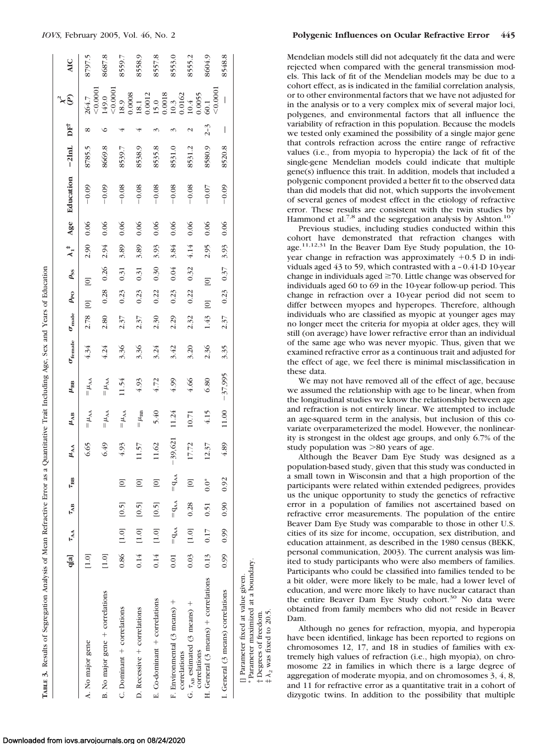|                                                                                                                                                | q[a]    | $\tau_{AA}$            | $\tau_{AB}$ | $\tau_{\text{BB}}$ | $\mu_{\rm AA}$ | $\mu_{AB}$      | $\mu_{\rm BB}$ | $\sigma_{\text{female}}$ | $\sigma_{\rm made}$ | $\rho_\text{PO}$   | $\rho_{\rm ss}$    | $\lambda_1^*$ | Age  | Education | $-2lnL$ | $DF^{\dagger}$ | $\approx 5$                                                                                                                  | <b>AIC</b> |
|------------------------------------------------------------------------------------------------------------------------------------------------|---------|------------------------|-------------|--------------------|----------------|-----------------|----------------|--------------------------|---------------------|--------------------|--------------------|---------------|------|-----------|---------|----------------|------------------------------------------------------------------------------------------------------------------------------|------------|
| A. No major gene                                                                                                                               | [1.0]   |                        |             |                    | 6.65           | $=\mu_{AA}$     | $=\mu_{AA}$    | 4.34                     | 2.78                | $\overline{\circ}$ | $\overline{0}$     | 2.90          | 0.06 | $-0.09$   | 8785.5  | ∞              | 264.7                                                                                                                        | 8797.5     |
| B. No major gene + correlations                                                                                                                | $[1.0]$ |                        |             |                    | 6.49           | $=\mu_{AA}$     | $=\mu_{AA}$    | 4.24                     | 2.80                | 0.28               | 0.26               | 2.94          | 0.06 | $-0.09$   | 8669.8  | ╰              | < 0.0001<br>149.0                                                                                                            | 8687.8     |
| C. Dominant + correlations                                                                                                                     | 0.86    | $[1.0]$                | [0.5]       | $\Xi$              | 4.93           | $=\mu_{AA}$     | 11.54          | 3.36                     | 2.37                | 0.23               | 0.31               | 3.89          | 0.06 | $-0.08$   | 8539.7  |                | < 0.0001                                                                                                                     | 8559.7     |
| $D.$ Recessive + correlations                                                                                                                  | 0.14    | $[1.0] \label{eq:1.1}$ | [0.5]       | $\Xi$              | 11.57          | $=\mu_{\rm BB}$ | 4.93           | 3.36                     | 2.37                | 0.23               | 0.31               | 3.89          | 0.06 | $-0.08$   | 8538.9  |                |                                                                                                                              | 8558.9     |
| E. Co-dominant + correlations                                                                                                                  | 0.14    | $[1.0] \label{eq:1.1}$ | [0.5]       | $\Xi$              | $11.62$        | 5.40            | 4.72           | 3.24                     | 2.30                | 0.22               | 0.30               | 3.93          | 0.06 | $-0.08$   | 8535.8  |                |                                                                                                                              | 8557.8     |
| F. Environmental (3 means) +                                                                                                                   | 0.01    | $= q_{AA}$             | $= q_{AA}$  | $=$ q <sub>M</sub> | $-39,621$      | 11.24           | 4.99           | 3.42                     | 2.29                | 0.23               | 0.04               | 3.84          | 0.06 | $-0.08$   | 8531.0  |                |                                                                                                                              | 8553.0     |
| G. $\tau_{AB}$ estimated (3 means) +<br>correlations                                                                                           | 0.03    | $[1.0]$                | 0.28        | $\Xi$              | 17.72          | 10.71           | 4.66           | 3.20                     | 2.32                | 0.22               | 0.32               | 4.14          | 0.06 | $-0.08$   | 8531.2  |                | $\begin{array}{l} 18.9 \\ 0.0008 \\ 18.1 \\ 18.1 \\ 15.0 \\ 15.0 \\ 0.0018 \\ 10.3 \\ 10.4 \\ 10.4 \\ 0.0055 \\ \end{array}$ | 8555.2     |
| H. General (3 means) + correlations<br>correlations                                                                                            | 0.13    | 0.17                   | 0.51        | $0.0^*$            | 12.37          | 4.15            | 6.80           | 2.36                     | 1.43                | $\overline{\Xi}$   | $\overline{\circ}$ | 2.95          | 0.06 | $-0.07$   | 8580.9  | $2 - 3$        | 60.1                                                                                                                         | 8604.9     |
| I. General (3 means) correlations                                                                                                              |         | 0.99 0.99              | 0.90        | 0.92               | 4.89           | 11.00           | $-37,995$      | 3.35                     | 2.37                | 0.23               | 0.37               | 3.93          | 0.06 | $-0.09$   | 8520.8  | I              | < 0.0001<br>$\overline{\phantom{a}}$                                                                                         | 8548.8     |
| * Parameter maximized at a boundary.<br>[] Parameter fixed at value given.<br>$\ddagger \lambda_2$ was fixed to 20.5.<br>† Degrees of freedom. |         |                        |             |                    |                |                 |                |                          |                     |                    |                    |               |      |           |         |                |                                                                                                                              |            |

Mendelian models still did not adequately fit the data and were rejected when compared with the general transmission models. This lack of fit of the Mendelian models may be due to a cohort effect, as is indicated in the familial correlation analysis, or to other environmental factors that we have not adjusted for in the analysis or to a very complex mix of several major loci, polygenes, and environmental factors that all influence the variability of refraction in this population. Because the models we tested only examined the possibility of a single major gene that controls refraction across the entire range of refractive values (i.e., from myopia to hyperopia) the lack of fit of the single-gene Mendelian models could indicate that multiple gene(s) influence this trait. In addition, models that included a polygenic component provided a better fit to the observed data than did models that did not, which supports the involvement of several genes of modest effect in the etiology of refractive error. These results are consistent with the twin studies by Hammond et al.<sup>7,8</sup> and the segregation analysis by Ashton.<sup>1</sup>

Previous studies, including studies conducted within this cohort have demonstrated that refraction changes with age.11,12,31 In the Beaver Dam Eye Study population, the 10 year change in refraction was approximately  $+0.5$  D in individuals aged 43 to 59, which contrasted with a – 0.41-D 10-year change in individuals aged  $\geq$  70. Little change was observed for individuals aged 60 to 69 in the 10-year follow-up period. This change in refraction over a 10-year period did not seem to differ between myopes and hyperopes. Therefore, although individuals who are classified as myopic at younger ages may no longer meet the criteria for myopia at older ages, they will still (on average) have lower refractive error than an individual of the same age who was never myopic. Thus, given that we examined refractive error as a continuous trait and adjusted for the effect of age, we feel there is minimal misclassification in these data.

We may not have removed all of the effect of age, because we assumed the relationship with age to be linear, when from the longitudinal studies we know the relationship between age and refraction is not entirely linear. We attempted to include an age-squared term in the analysis, but inclusion of this covariate overparameterized the model. However, the nonlinearity is strongest in the oldest age groups, and only 6.7% of the study population was  $>80$  years of age.

Although the Beaver Dam Eye Study was designed as a population-based study, given that this study was conducted in a small town in Wisconsin and that a high proportion of the participants were related within extended pedigrees, provides us the unique opportunity to study the genetics of refractive error in a population of families not ascertained based on refractive error measurements. The population of the entire Beaver Dam Eye Study was comparable to those in other U.S. cities of its size for income, occupation, sex distribution, and education attainment, as described in the 1980 census (BEKK, personal communication, 2003). The current analysis was limited to study participants who were also members of families. Participants who could be classified into families tended to be a bit older, were more likely to be male, had a lower level of education, and were more likely to have nuclear cataract than the entire Beaver Dam Eye Study cohort.<sup>30</sup> No data were obtained from family members who did not reside in Beaver Dam.

Although no genes for refraction, myopia, and hyperopia have been identified, linkage has been reported to regions on chromosomes 12, 17, and 18 in studies of families with extremely high values of refraction (i.e., high myopia), on chromosome 22 in families in which there is a large degree of aggregation of moderate myopia, and on chromosomes 3, 4, 8, and 11 for refractive error as a quantitative trait in a cohort of dizygotic twins. In addition to the possibility that multiple

 $\frac{1}{4} \lambda_2$  was fixed to 20.5.

**T**

**ABLE 3.** Results of Segregation Analysis of Mean Refractive Error as a Quantitative Trait Including Age, Sex and Years of Education

Results of Segregation Analysis of Mean Refractive Error as a Quantitative Trait Including Age, Sex and Years of Education